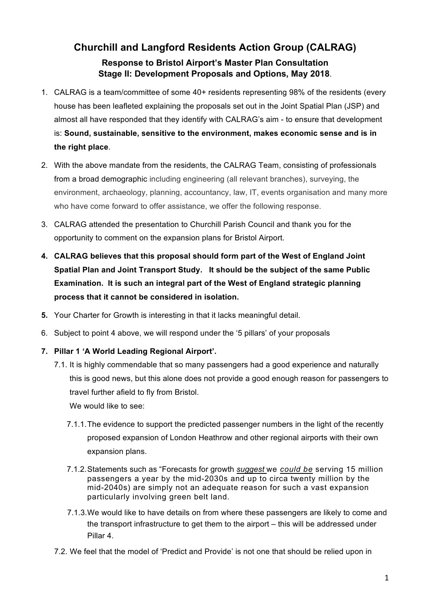## **Churchill and Langford Residents Action Group (CALRAG) Response to Bristol Airport's Master Plan Consultation Stage II: Development Proposals and Options, May 2018**.

- 1. CALRAG is a team/committee of some 40+ residents representing 98% of the residents (every house has been leafleted explaining the proposals set out in the Joint Spatial Plan (JSP) and almost all have responded that they identify with CALRAG's aim - to ensure that development is: **Sound, sustainable, sensitive to the environment, makes economic sense and is in the right place**.
- 2. With the above mandate from the residents, the CALRAG Team, consisting of professionals from a broad demographic including engineering (all relevant branches), surveying, the environment, archaeology, planning, accountancy, law, IT, events organisation and many more who have come forward to offer assistance, we offer the following response.
- 3. CALRAG attended the presentation to Churchill Parish Council and thank you for the opportunity to comment on the expansion plans for Bristol Airport.
- **4. CALRAG believes that this proposal should form part of the West of England Joint Spatial Plan and Joint Transport Study. It should be the subject of the same Public Examination. It is such an integral part of the West of England strategic planning process that it cannot be considered in isolation.**
- **5.** Your Charter for Growth is interesting in that it lacks meaningful detail.
- 6. Subject to point 4 above, we will respond under the '5 pillars' of your proposals
- **7. Pillar 1 'A World Leading Regional Airport'.**
	- 7.1. It is highly commendable that so many passengers had a good experience and naturally this is good news, but this alone does not provide a good enough reason for passengers to travel further afield to fly from Bristol. We would like to see:
		- 7.1.1.The evidence to support the predicted passenger numbers in the light of the recently proposed expansion of London Heathrow and other regional airports with their own expansion plans.
		- 7.1.2.Statements such as "Forecasts for growth *suggest* we *could be* serving 15 million passengers a year by the mid-2030s and up to circa twenty million by the mid-2040s) are simply not an adequate reason for such a vast expansion particularly involving green belt land.
		- 7.1.3.We would like to have details on from where these passengers are likely to come and the transport infrastructure to get them to the airport – this will be addressed under Pillar 4.
	- 7.2. We feel that the model of 'Predict and Provide' is not one that should be relied upon in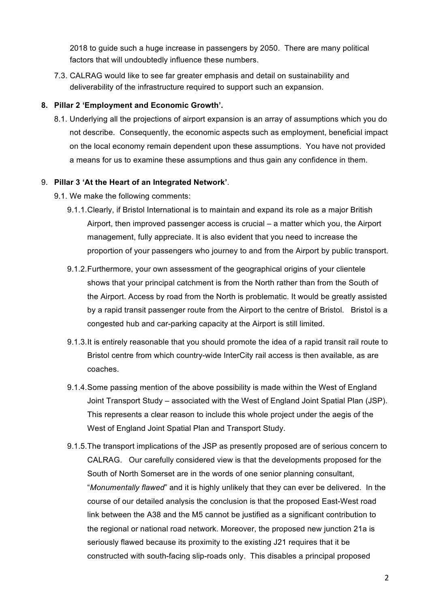2018 to guide such a huge increase in passengers by 2050. There are many political factors that will undoubtedly influence these numbers.

7.3. CALRAG would like to see far greater emphasis and detail on sustainability and deliverability of the infrastructure required to support such an expansion.

#### **8. Pillar 2 'Employment and Economic Growth'.**

8.1. Underlying all the projections of airport expansion is an array of assumptions which you do not describe. Consequently, the economic aspects such as employment, beneficial impact on the local economy remain dependent upon these assumptions. You have not provided a means for us to examine these assumptions and thus gain any confidence in them.

#### 9. **Pillar 3 'At the Heart of an Integrated Network'**.

- 9.1. We make the following comments:
	- 9.1.1.Clearly, if Bristol International is to maintain and expand its role as a major British Airport, then improved passenger access is crucial – a matter which you, the Airport management, fully appreciate. It is also evident that you need to increase the proportion of your passengers who journey to and from the Airport by public transport.
	- 9.1.2.Furthermore, your own assessment of the geographical origins of your clientele shows that your principal catchment is from the North rather than from the South of the Airport. Access by road from the North is problematic. It would be greatly assisted by a rapid transit passenger route from the Airport to the centre of Bristol. Bristol is a congested hub and car-parking capacity at the Airport is still limited.
	- 9.1.3.It is entirely reasonable that you should promote the idea of a rapid transit rail route to Bristol centre from which country-wide InterCity rail access is then available, as are coaches.
	- 9.1.4.Some passing mention of the above possibility is made within the West of England Joint Transport Study – associated with the West of England Joint Spatial Plan (JSP). This represents a clear reason to include this whole project under the aegis of the West of England Joint Spatial Plan and Transport Study.
	- 9.1.5.The transport implications of the JSP as presently proposed are of serious concern to CALRAG. Our carefully considered view is that the developments proposed for the South of North Somerset are in the words of one senior planning consultant, "*Monumentally flawed*" and it is highly unlikely that they can ever be delivered. In the course of our detailed analysis the conclusion is that the proposed East-West road link between the A38 and the M5 cannot be justified as a significant contribution to the regional or national road network. Moreover, the proposed new junction 21a is seriously flawed because its proximity to the existing J21 requires that it be constructed with south-facing slip-roads only. This disables a principal proposed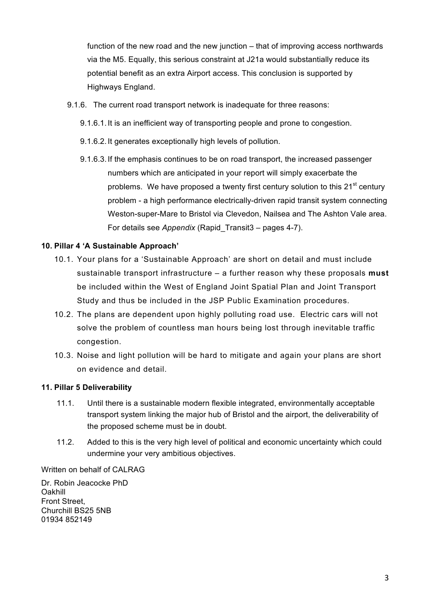function of the new road and the new junction – that of improving access northwards via the M5. Equally, this serious constraint at J21a would substantially reduce its potential benefit as an extra Airport access. This conclusion is supported by Highways England.

- 9.1.6. The current road transport network is inadequate for three reasons:
	- 9.1.6.1. It is an inefficient way of transporting people and prone to congestion.
	- 9.1.6.2. It generates exceptionally high levels of pollution.
	- 9.1.6.3. If the emphasis continues to be on road transport, the increased passenger numbers which are anticipated in your report will simply exacerbate the problems. We have proposed a twenty first century solution to this  $21<sup>st</sup>$  century problem - a high performance electrically-driven rapid transit system connecting Weston-super-Mare to Bristol via Clevedon, Nailsea and The Ashton Vale area. For details see *Appendix* (Rapid\_Transit3 – pages 4-7).

#### **10. Pillar 4 'A Sustainable Approach'**

- 10.1. Your plans for a 'Sustainable Approach' are short on detail and must include sustainable transport infrastructure – a further reason why these proposals **must** be included within the West of England Joint Spatial Plan and Joint Transport Study and thus be included in the JSP Public Examination procedures.
- 10.2. The plans are dependent upon highly polluting road use. Electric cars will not solve the problem of countless man hours being lost through inevitable traffic congestion.
- 10.3. Noise and light pollution will be hard to mitigate and again your plans are short on evidence and detail.

#### **11. Pillar 5 Deliverability**

- 11.1. Until there is a sustainable modern flexible integrated, environmentally acceptable transport system linking the major hub of Bristol and the airport, the deliverability of the proposed scheme must be in doubt.
- 11.2. Added to this is the very high level of political and economic uncertainty which could undermine your very ambitious objectives.

Written on behalf of CALRAG

Dr. Robin Jeacocke PhD **Oakhill** Front Street, Churchill BS25 5NB 01934 852149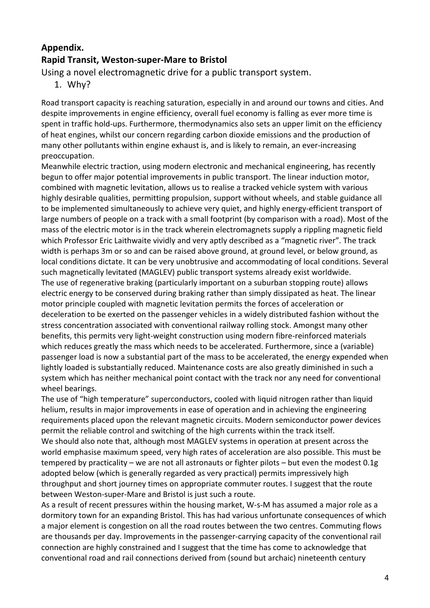# **Appendix.**

### **Rapid Transit, Weston-super-Mare to Bristol**

Using a novel electromagnetic drive for a public transport system.

1. Why?

Road transport capacity is reaching saturation, especially in and around our towns and cities. And despite improvements in engine efficiency, overall fuel economy is falling as ever more time is spent in traffic hold-ups. Furthermore, thermodynamics also sets an upper limit on the efficiency of heat engines, whilst our concern regarding carbon dioxide emissions and the production of many other pollutants within engine exhaust is, and is likely to remain, an ever-increasing preoccupation.

Meanwhile electric traction, using modern electronic and mechanical engineering, has recently begun to offer major potential improvements in public transport. The linear induction motor, combined with magnetic levitation, allows us to realise a tracked vehicle system with various highly desirable qualities, permitting propulsion, support without wheels, and stable guidance all to be implemented simultaneously to achieve very quiet, and highly energy-efficient transport of large numbers of people on a track with a small footprint (by comparison with a road). Most of the mass of the electric motor is in the track wherein electromagnets supply a rippling magnetic field which Professor Eric Laithwaite vividly and very aptly described as a "magnetic river". The track width is perhaps 3m or so and can be raised above ground, at ground level, or below ground, as local conditions dictate. It can be very unobtrusive and accommodating of local conditions. Several such magnetically levitated (MAGLEV) public transport systems already exist worldwide. The use of regenerative braking (particularly important on a suburban stopping route) allows electric energy to be conserved during braking rather than simply dissipated as heat. The linear motor principle coupled with magnetic levitation permits the forces of acceleration or deceleration to be exerted on the passenger vehicles in a widely distributed fashion without the stress concentration associated with conventional railway rolling stock. Amongst many other benefits, this permits very light-weight construction using modern fibre-reinforced materials which reduces greatly the mass which needs to be accelerated. Furthermore, since a (variable) passenger load is now a substantial part of the mass to be accelerated, the energy expended when lightly loaded is substantially reduced. Maintenance costs are also greatly diminished in such a system which has neither mechanical point contact with the track nor any need for conventional wheel bearings.

The use of "high temperature" superconductors, cooled with liquid nitrogen rather than liquid helium, results in major improvements in ease of operation and in achieving the engineering requirements placed upon the relevant magnetic circuits. Modern semiconductor power devices permit the reliable control and switching of the high currents within the track itself.

We should also note that, although most MAGLEV systems in operation at present across the world emphasise maximum speed, very high rates of acceleration are also possible. This must be tempered by practicality – we are not all astronauts or fighter pilots – but even the modest  $0.1g$ adopted below (which is generally regarded as very practical) permits impressively high throughput and short journey times on appropriate commuter routes. I suggest that the route between Weston-super-Mare and Bristol is just such a route.

As a result of recent pressures within the housing market, W-s-M has assumed a major role as a dormitory town for an expanding Bristol. This has had various unfortunate consequences of which a major element is congestion on all the road routes between the two centres. Commuting flows are thousands per day. Improvements in the passenger-carrying capacity of the conventional rail connection are highly constrained and I suggest that the time has come to acknowledge that conventional road and rail connections derived from (sound but archaic) nineteenth century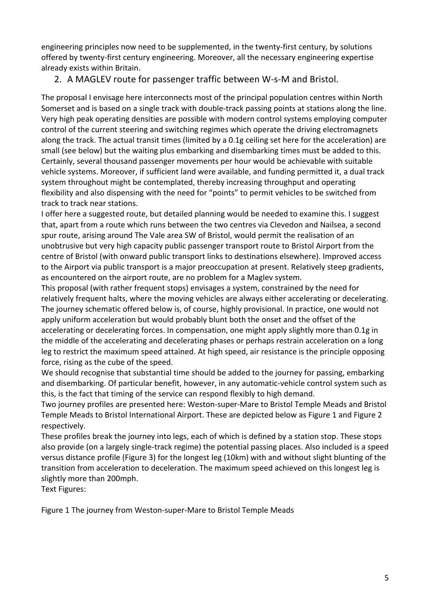engineering principles now need to be supplemented, in the twenty-first century, by solutions offered by twenty-first century engineering. Moreover, all the necessary engineering expertise already exists within Britain.

2. A MAGLEV route for passenger traffic between W-s-M and Bristol.

The proposal I envisage here interconnects most of the principal population centres within North Somerset and is based on a single track with double-track passing points at stations along the line. Very high peak operating densities are possible with modern control systems employing computer control of the current steering and switching regimes which operate the driving electromagnets along the track. The actual transit times (limited by a 0.1g ceiling set here for the acceleration) are small (see below) but the waiting plus embarking and disembarking times must be added to this. Certainly, several thousand passenger movements per hour would be achievable with suitable vehicle systems. Moreover, if sufficient land were available, and funding permitted it, a dual track system throughout might be contemplated, thereby increasing throughput and operating flexibility and also dispensing with the need for "points" to permit vehicles to be switched from track to track near stations.

I offer here a suggested route, but detailed planning would be needed to examine this. I suggest that, apart from a route which runs between the two centres via Clevedon and Nailsea, a second spur route, arising around The Vale area SW of Bristol, would permit the realisation of an unobtrusive but very high capacity public passenger transport route to Bristol Airport from the centre of Bristol (with onward public transport links to destinations elsewhere). Improved access to the Airport via public transport is a major preoccupation at present. Relatively steep gradients, as encountered on the airport route, are no problem for a Maglev system.

This proposal (with rather frequent stops) envisages a system, constrained by the need for relatively frequent halts, where the moving vehicles are always either accelerating or decelerating. The journey schematic offered below is, of course, highly provisional. In practice, one would not apply uniform acceleration but would probably blunt both the onset and the offset of the accelerating or decelerating forces. In compensation, one might apply slightly more than 0.1g in the middle of the accelerating and decelerating phases or perhaps restrain acceleration on a long leg to restrict the maximum speed attained. At high speed, air resistance is the principle opposing force, rising as the cube of the speed.

We should recognise that substantial time should be added to the journey for passing, embarking and disembarking. Of particular benefit, however, in any automatic-vehicle control system such as this, is the fact that timing of the service can respond flexibly to high demand.

Two journey profiles are presented here: Weston-super-Mare to Bristol Temple Meads and Bristol Temple Meads to Bristol International Airport. These are depicted below as Figure 1 and Figure 2 respectively.

These profiles break the journey into legs, each of which is defined by a station stop. These stops also provide (on a largely single-track regime) the potential passing places. Also included is a speed versus distance profile (Figure 3) for the longest leg (10km) with and without slight blunting of the transition from acceleration to deceleration. The maximum speed achieved on this longest leg is slightly more than 200mph.

Text Figures:

Figure 1 The journey from Weston-super-Mare to Bristol Temple Meads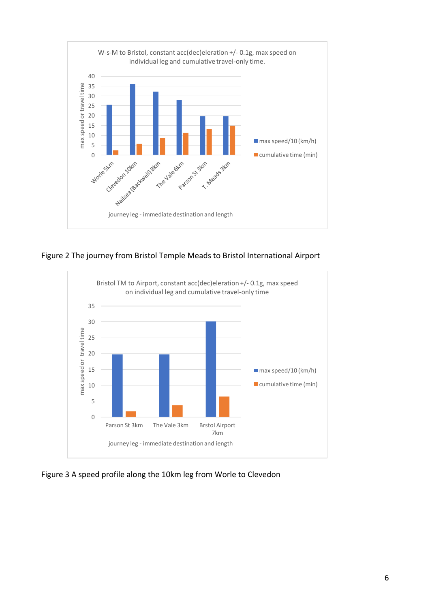

Figure 2 The journey from Bristol Temple Meads to Bristol International Airport



Figure 3 A speed profile along the 10km leg from Worle to Clevedon